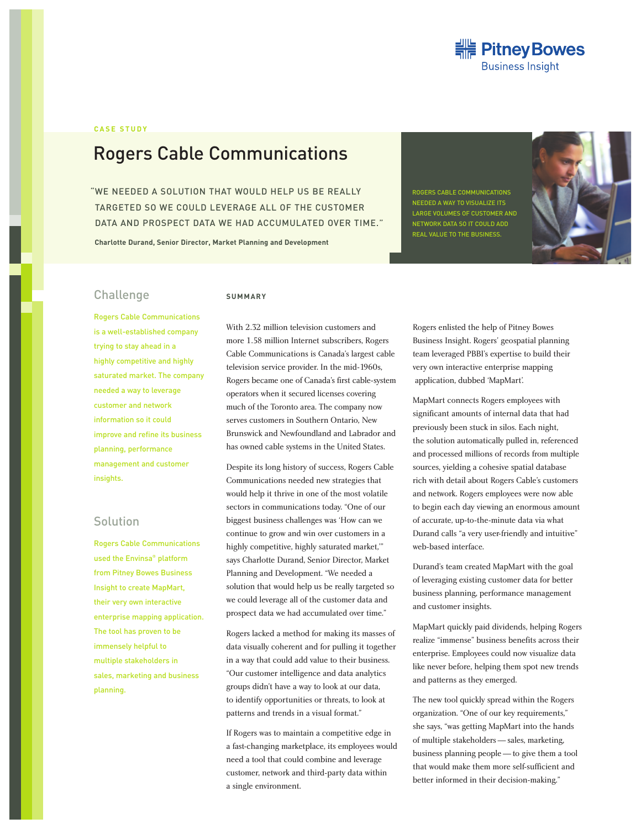

### **CASE STUDY**

# Rogers Cable Communications

"WE NEEDED A SOLUTION THAT WOULD HELP US BE REALLY TARGETED SO WE COULD LEVERAGE ALL OF THE CUSTOMER DATA AND PROSPECT DATA WE HAD ACCUMULATED OVER TIME."

**Charlotte Durand, Senior Director, Market Planning and Development**

ROGERS CABLE COMMUNICATIONS NEEDED A WAY TO VISUALIZE ITS LARGE VOLUMES OF CUSTOMER AND REAL VALUE TO THE BUSINESS.



## Challenge

#### **SUMMARY**

Rogers Cable Communications is a well-established company trying to stay ahead in a highly competitive and highly saturated market. The company needed a way to leverage customer and network information so it could improve and refine its business planning, performance management and customer insights.

## Solution

Rogers Cable Communications used the Envinsa® platform from Pitney Bowes Business Insight to create MapMart, their very own interactive enterprise mapping application. The tool has proven to be immensely helpful to multiple stakeholders in sales, marketing and business planning.

With 2.32 million television customers and more 1.58 million Internet subscribers, Rogers Cable Communications is Canada's largest cable television service provider. In the mid-1960s, Rogers became one of Canada's first cable-system operators when it secured licenses covering much of the Toronto area. The company now serves customers in Southern Ontario, New Brunswick and Newfoundland and Labrador and has owned cable systems in the United States.

Despite its long history of success, Rogers Cable Communications needed new strategies that would help it thrive in one of the most volatile sectors in communications today. "One of our biggest business challenges was 'How can we continue to grow and win over customers in a highly competitive, highly saturated market,'" says Charlotte Durand, Senior Director, Market Planning and Development. "We needed a solution that would help us be really targeted so we could leverage all of the customer data and prospect data we had accumulated over time."

Rogers lacked a method for making its masses of data visually coherent and for pulling it together in a way that could add value to their business. "Our customer intelligence and data analytics groups didn't have a way to look at our data, to identify opportunities or threats, to look at patterns and trends in a visual format."

If Rogers was to maintain a competitive edge in a fast-changing marketplace, its employees would need a tool that could combine and leverage customer, network and third-party data within a single environment.

Rogers enlisted the help of Pitney Bowes Business Insight. Rogers' geospatial planning team leveraged PBBI's expertise to build their very own interactive enterprise mapping application, dubbed 'MapMart'.

MapMart connects Rogers employees with significant amounts of internal data that had previously been stuck in silos. Each night, the solution automatically pulled in, referenced and processed millions of records from multiple sources, yielding a cohesive spatial database rich with detail about Rogers Cable's customers and network. Rogers employees were now able to begin each day viewing an enormous amount of accurate, up-to-the-minute data via what Durand calls "a very user-friendly and intuitive" web-based interface.

Durand's team created MapMart with the goal of leveraging existing customer data for better business planning, performance management and customer insights.

MapMart quickly paid dividends, helping Rogers realize "immense" business benefits across their enterprise. Employees could now visualize data like never before, helping them spot new trends and patterns as they emerged.

The new tool quickly spread within the Rogers organization. "One of our key requirements," she says, "was getting MapMart into the hands of multiple stakeholders—sales, marketing, business planning people—to give them a tool that would make them more self-sufficient and better informed in their decision-making."